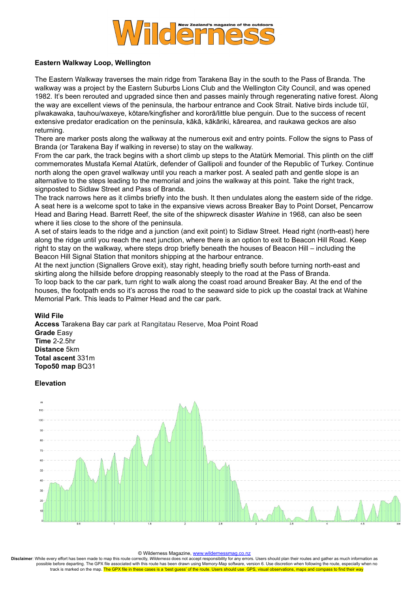

## **Eastern Walkway Loop, Wellington**

The Eastern Walkway traverses the main ridge from Tarakena Bay in the south to the Pass of Branda. The walkway was a project by the Eastern Suburbs Lions Club and the Wellington City Council, and was opened 1982. It's been rerouted and upgraded since then and passes mainly through regenerating native forest. Along the way are excellent views of the peninsula, the harbour entrance and Cook Strait. Native birds include tūī, pīwakawaka, tauhou/waxeye, kōtare/kingfisher and kororā/little blue penguin. Due to the success of recent extensive predator eradication on the peninsula, kākā, kākāriki, kārearea, and raukawa geckos are also returning.

There are marker posts along the walkway at the numerous exit and entry points. Follow the signs to Pass of Branda (or Tarakena Bay if walking in reverse) to stay on the walkway.

From the car park, the track begins with a short climb up steps to the Atatürk Memorial. This plinth on the cliff commemorates Mustafa Kemal Atatürk, defender of Gallipoli and founder of the Republic of Turkey. Continue north along the open gravel walkway until you reach a marker post. A sealed path and gentle slope is an alternative to the steps leading to the memorial and joins the walkway at this point. Take the right track, signposted to Sidlaw Street and Pass of Branda.

The track narrows here as it climbs briefly into the bush. It then undulates along the eastern side of the ridge. A seat here is a welcome spot to take in the expansive views across Breaker Bay to Point Dorset, Pencarrow Head and Baring Head. Barrett Reef, the site of the shipwreck disaster *Wahine* in 1968, can also be seen where it lies close to the shore of the peninsula.

A set of stairs leads to the ridge and a junction (and exit point) to Sidlaw Street. Head right (north-east) here along the ridge until you reach the next junction, where there is an option to exit to Beacon Hill Road. Keep right to stay on the walkway, where steps drop briefly beneath the houses of Beacon Hill – including the Beacon Hill Signal Station that monitors shipping at the harbour entrance.

At the next junction (Signallers Grove exit), stay right, heading briefly south before turning north-east and skirting along the hillside before dropping reasonably steeply to the road at the Pass of Branda.

To loop back to the car park, turn right to walk along the coast road around Breaker Bay. At the end of the houses, the footpath ends so it's across the road to the seaward side to pick up the coastal track at Wahine Memorial Park. This leads to Palmer Head and the car park.

## **Wild File**

**Access** Tarakena Bay car park at Rangitatau Reserve, Moa Point Road **Grade** Easy **Time** 2-2.5hr **Distance** 5km **Total ascent** 331m **Topo50 map** BQ31

### **Elevation**



#### © Wilderness Magazine, [www.wildernessmag.co.nz](http://www.wildernessmag.co.nz/)

**Disclaimer**: While every effort has been made to map this route correctly, *Wilderness* does not accept responsibility for any errors. Users should plan their routes and gather as much information as possible before departing. The GPX file associated with this route has been drawn using Memory-Map software, version 6. Use discretion when following the route, especially when no track is marked on the map. The GPX file in these cases is a 'best guess' of the route. Users should use GPS, visual observations, maps and compass to find their way